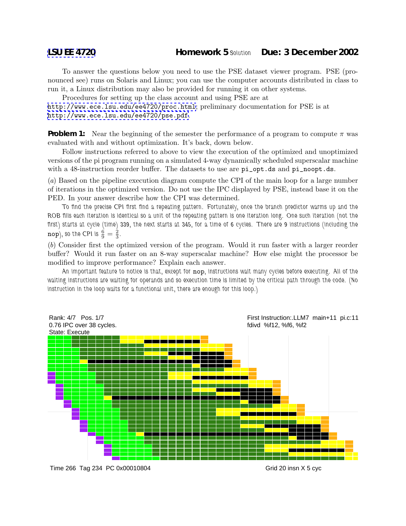To answer the questions below you need to use the PSE dataset viewer program. PSE (pronounced see) runs on Solaris and Linux; you can use the computer accounts distributed in class to run it, a Linux distribution may also be provided for running it on other systems.

Procedures for setting up the class account and using PSE are at

<http://www.ece.lsu.edu/ee4720/proc.html>; preliminary documentation for PSE is at <http://www.ece.lsu.edu/ee4720/pse.pdf>.

**Problem 1:** Near the beginning of the semester the performance of a program to compute  $\pi$  was evaluated with and without optimization. It's back, down below.

Follow instructions referred to above to view the execution of the optimized and unoptimized versions of the pi program running on a simulated 4-way dynamically scheduled superscalar machine with a 48-instruction reorder buffer. The datasets to use are  $pi$ -opt.ds and  $pi$ -noopt.ds.

(a) Based on the pipeline execution diagram compute the CPI of the main loop for a large number of iterations in the optimized version. Do not use the IPC displayed by PSE, instead base it on the PED. In your answer describe how the CPI was determined.

*To find the precise CPI first find a repeating pattern. Fortunately, once the branch predictor warms up and the ROB fills each iteration is identical so a unit of the repeating pattern is one iteration long. One such iteration (not the first) starts at cycle (time) 339, the next starts at 345, for a time of 6 cycles. There are 9 instructions (including the*  $\text{nop}$ ), so the CPI is  $\frac{6}{9} = \frac{2}{3}$ .

(b) Consider first the optimized version of the program. Would it run faster with a larger reorder buffer? Would it run faster on an 8-way superscalar machine? How else might the processor be modified to improve performance? Explain each answer.

*An important feature to notice is that, except for* nop*, instructions wait many cycles before executing. All of the waiting instructions are waiting for operands and so execution time is limited by the critical path through the code. (No instruction in the loop waits for a functional unit, there are enough for this loop.)*



Time 266 Tag 234 PC 0x00010804

Grid 20 insn X 5 cyc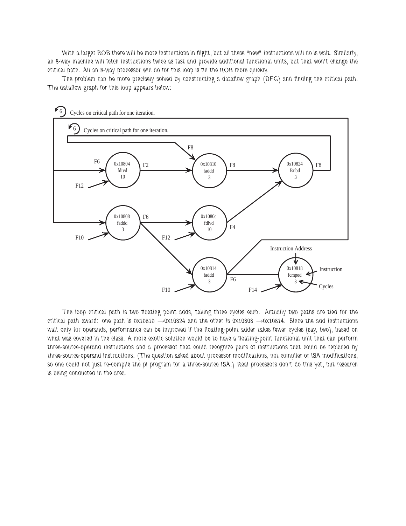*With a larger ROB there will be more instructions in flight, but all these "new" instructions will do is wait. Similarly, an 8-way machine will fetch instructions twice as fast and provide additional functional units, but that won't change the critical path. All an 8-way processor will do for this loop is fill the ROB more quickly.*

*The problem can be more precisely solved by constructing a dataflow graph (DFG) and finding the critical path. The dataflow graph for this loop appears below:*



*The loop critical path is two floating point adds, taking three cycles each. Actually two paths are tied for the critical path award: one path is 0x10810* →*0x10824 and the other is 0x10808* →*0x10814. Since the add instructions wait only for operands, performance can be improved if the floating-point adder takes fewer cycles (say, two), based on what was covered in the class. A more exotic solution would be to have a floating-point functional unit that can perform three-source-operand instructions and a processor that could recognize pairs of instructions that could be replaced by three-source-operand instructions. (The question asked about processor modifications, not compiler or ISA modifications, so one could not just re-compile the pi program for a three-source ISA.) Real processors don't do this yet, but research is being conducted in the area.*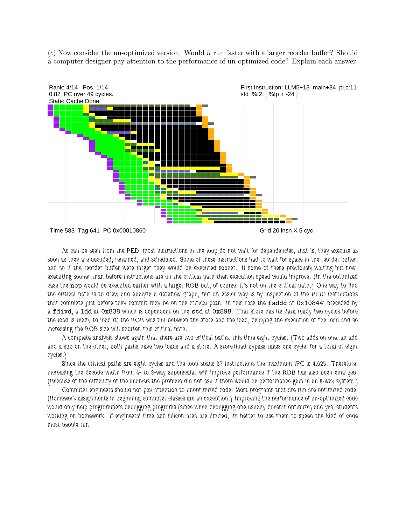(c) Now consider the un-optimized version. Would it run faster with a larger reorder buffer? Should a computer designer pay attention to the performance of un-optimized code? Explain each answer.



*As can be seen from the PED, most instructions in the loop do not wait for dependencies, that is, they execute as soon as they are decoded, renamed, and scheduled. Some of these instructions had to wait for space in the reorder buffer, and so if the reorder buffer were larger they would be executed sooner. If some of these previously-waiting-but-nowexecuting-sooner-than-before instructions are on the critical path then execution speed would improve. (In the optimized case the* nop *would be executed earlier with a larger ROB but, of course, it's not on the critical path.) One way to find the critical path is to draw and analyze a dataflow graph, but an easier way is by inspection of the PED: instructions that complete just before they commit may be on the critical path. In this case the* faddd *at* 0x10844*; preceded by a* fdivd*, a* ldd *at* 0x838 *which is dependent on the* std *at* 0x898*. That store has its data ready two cycles before the load is ready to load it; the ROB was full between the store and the load, delaying the execution of the load and so increasing the ROB size will shorten this critical path.*

*A complete analysis shows again that there are two critical paths, this time eight cycles. (Two adds on one, an add and a sub on the other; both paths have two loads and a store. A store/load bypass takes one cycle, for a total of eight cycles.)*

*Since the critical paths are eight cycles and the loop spans 37 instructions the maximum IPC is 4.625. Therefore, increasing the decode width from 4- to 8-way superscalar will improve performance if the ROB has also been enlarged. (Because of the difficulty of the analysis the problem did not ask if there would be performance gain in an 8-way system.)*

*Computer engineers should not pay attention to unoptimized code. Most programs that are run are optimized code. (Homework assignments in beginning computer classes are an exception.) Improving the performance of un-optimized code would only help programmers debugging programs (since when debugging one usually doesn't optimize) and yes, students working on homework. If engineers' time and silicon area are limited, its better to use them to speed the kind of code most people run.*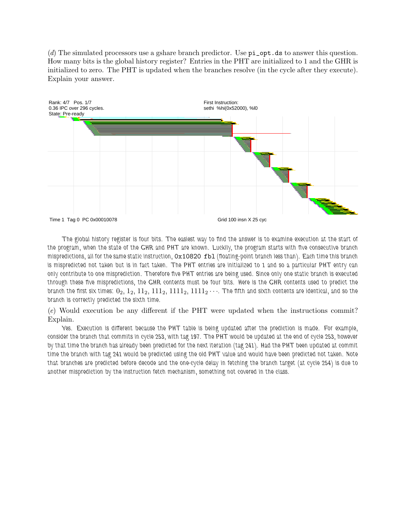(d) The simulated processors use a gshare branch predictor. Use pi\_opt.ds to answer this question. How many bits is the global history register? Entries in the PHT are initialized to 1 and the GHR is initialized to zero. The PHT is updated when the branches resolve (in the cycle after they execute). Explain your answer.



*The global history register is four bits. The easiest way to find the answer is to examine execution at the start of the program, when the state of the GHR and PHT are known. Luckily, the program starts with five consecutive branch mispredictions, all for the same static instruction,* 0x10820 fbl *(floating-point branch less than). Each time this branch is mispredicted not taken but is in fact taken. The PHT entries are initialized to 1 and so a particular PHT entry can only contribute to one misprediction. Therefore five PHT entries are being used. Since only one static branch is executed through these five mispredictions, the GHR contents must be four bits. Here is the GHR contents used to predict the branch the first six times:*  $0_2$ ,  $1_2$ ,  $11_2$ ,  $111_2$ ,  $1111_2$ ,  $1111_2$   $\cdots$ . The fifth and sixth contents are identical, and so the *branch is correctly predicted the sixth time.*

(e) Would execution be any different if the PHT were updated when the instructions commit? Explain.

*Yes. Execution is different because the PHT table is being updated after the prediction is made. For example, consider the branch that commits in cycle 253, with tag 197. The PHT would be updated at the end of cycle 253, however by that time the branch has already been predicted for the next iteration (tag 241). Had the PHT been updated at commit time the branch with tag 241 would be predicted using the old PHT value and would have been predicted not taken. Note that branches are predicted before decode and the one-cycle delay in fetching the branch target (at cycle 254) is due to another misprediction by the instruction fetch mechanism, something not covered in the class.*